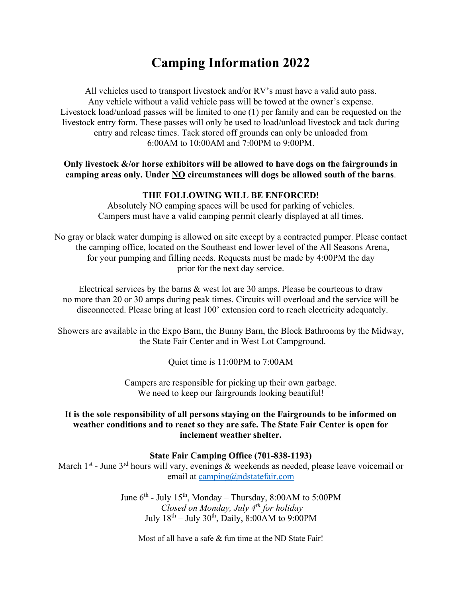# **Camping Information 2022**

All vehicles used to transport livestock and/or RV's must have a valid auto pass. Any vehicle without a valid vehicle pass will be towed at the owner's expense. Livestock load/unload passes will be limited to one (1) per family and can be requested on the livestock entry form. These passes will only be used to load/unload livestock and tack during entry and release times. Tack stored off grounds can only be unloaded from 6:00AM to 10:00AM and 7:00PM to 9:00PM.

#### **Only livestock &/or horse exhibitors will be allowed to have dogs on the fairgrounds in camping areas only. Under NO circumstances will dogs be allowed south of the barns**.

## **THE FOLLOWING WILL BE ENFORCED!**

Absolutely NO camping spaces will be used for parking of vehicles. Campers must have a valid camping permit clearly displayed at all times.

No gray or black water dumping is allowed on site except by a contracted pumper. Please contact the camping office, located on the Southeast end lower level of the All Seasons Arena, for your pumping and filling needs. Requests must be made by 4:00PM the day prior for the next day service.

Electrical services by the barns & west lot are 30 amps. Please be courteous to draw no more than 20 or 30 amps during peak times. Circuits will overload and the service will be disconnected. Please bring at least 100' extension cord to reach electricity adequately.

Showers are available in the Expo Barn, the Bunny Barn, the Block Bathrooms by the Midway, the State Fair Center and in West Lot Campground.

Quiet time is 11:00PM to 7:00AM

Campers are responsible for picking up their own garbage. We need to keep our fairgrounds looking beautiful!

#### **It is the sole responsibility of all persons staying on the Fairgrounds to be informed on weather conditions and to react so they are safe. The State Fair Center is open for inclement weather shelter.**

## **State Fair Camping Office (701-838-1193)**

March  $1<sup>st</sup>$  - June  $3<sup>rd</sup>$  hours will vary, evenings & weekends as needed, please leave voicemail or email at [camping@ndstatefair.com](mailto:camping@ndstatefair.com)

> June  $6^{th}$  - July 15<sup>th</sup>, Monday – Thursday, 8:00AM to 5:00PM *Closed on Monday, July 4th for holiday* July  $18<sup>th</sup> - July 30<sup>th</sup>$ , Daily,  $8:00AM$  to  $9:00PM$

Most of all have a safe & fun time at the ND State Fair!